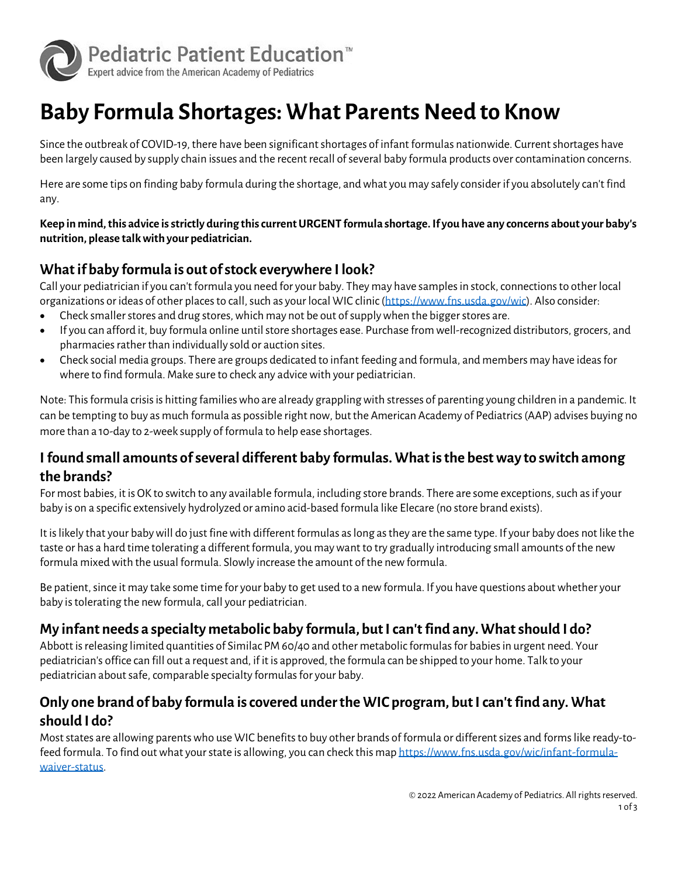

# **Baby Formula Shortages: What Parents Need to Know**

Since the outbreak of COVID-19, there have been significant shortages of infant formulas nationwide. Current shortages have been largely caused by supply chain issues and the recent recall of several baby formula products over contamination concerns.

Here are some tips on finding baby formula during the shortage, and what you may safely consider if you absolutely can't find any.

**Keep in mind, this advice is strictly during this current URGENT formula shortage. If you have any concerns about your baby's nutrition, please talk with your pediatrician.**

# **What if baby formula is out of stock everywhere I look?**

Call your pediatrician if you can't formula you need for your baby. They may have samples in stock, connections to other local organizations or ideas of other places to call, such as your local WIC clinic [\(https://www.fns.usda.gov/wic\)](https://www.fns.usda.gov/wic). Also consider:

- Check smaller stores and drug stores, which may not be out of supply when the bigger stores are.
- If you can afford it, buy formula online until store shortages ease. Purchase from well-recognized distributors, grocers, and pharmacies rather than individually sold or auction sites.
- Check social media groups. There are groups dedicated to infant feeding and formula, and members may have ideas for where to find formula. Make sure to check any advice with your pediatrician.

Note: This formula crisis is hitting families who are already grappling with stresses of parenting young children in a pandemic. It can be tempting to buy as much formula as possible right now, but the American Academy of Pediatrics (AAP) advises buying no more than a 10-day to 2-week supply of formula to help ease shortages.

# **I found small amounts of several different baby formulas. What is the best way to switch among the brands?**

For most babies, it is OK to switch to any available formula, including store brands. There are some exceptions, such as if your baby is on a specific extensively hydrolyzed or amino acid-based formula like Elecare (no store brand exists).

It is likely that your baby will do just fine with different formulas as long as they are the same type. If your baby does not like the taste or has a hard time tolerating a different formula, you may want to try gradually introducing small amounts of the new formula mixed with the usual formula. Slowly increase the amount of the new formula.

Be patient, since it may take some time for your baby to get used to a new formula. If you have questions about whether your baby is tolerating the new formula, call your pediatrician.

# **My infant needs a specialty metabolic baby formula, but I can't find any. What should I do?**

Abbott is releasing limited quantities of Similac PM 60/40 and other metabolic formulas for babies in urgent need. Your pediatrician's office can fill out a request and, if it is approved, the formula can be shipped to your home. Talk to your pediatrician about safe, comparable specialty formulas for your baby.

# **Only one brand of baby formula is covered under the WIC program, but I can't find any. What should I do?**

Most states are allowing parents who use WIC benefits to buy other brands of formula or different sizes and forms like ready-tofeed formula. To find out what your state is allowing, you can check this ma[p https://www.fns.usda.gov/wic/infant-formula](https://www.fns.usda.gov/wic/infant-formula-waiver-status)[waiver-status.](https://www.fns.usda.gov/wic/infant-formula-waiver-status)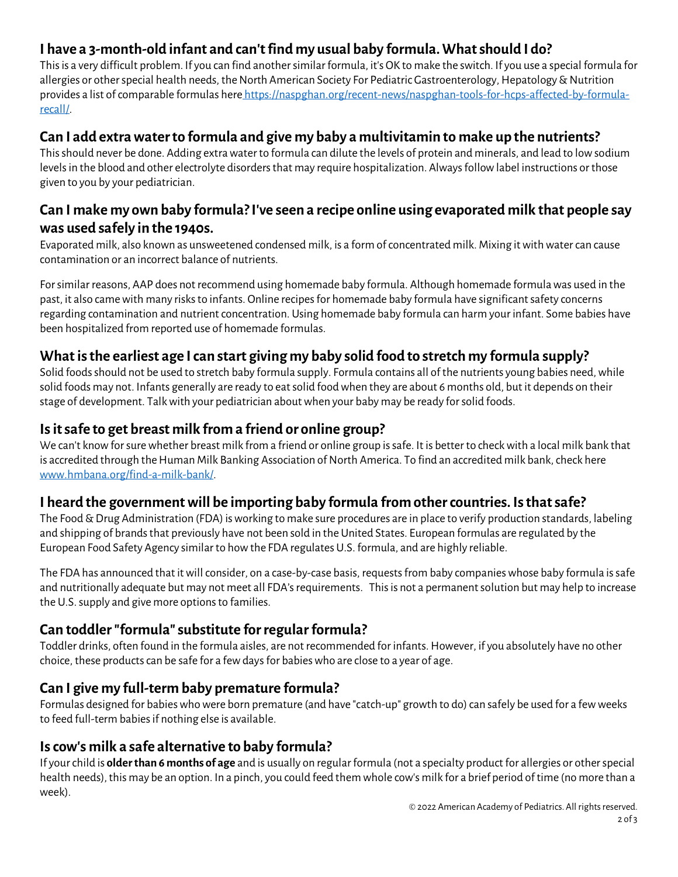# **I have a 3-month-old infant and can't find my usual baby formula. What should I do?**

This is a very difficult problem. If you can find another similar formula, it's OK to make the switch. If you use a special formula for allergies or other special health needs, the North American Society For Pediatric Gastroenterology, Hepatology & Nutrition provides a list of comparable formulas here [https://naspghan.org/recent-news/naspghan-tools-for-hcps-affected-by-formula](https://naspghan.org/recent-news/naspghan-tools-for-hcps-affected-by-formula-recall/)[recall/.](https://naspghan.org/recent-news/naspghan-tools-for-hcps-affected-by-formula-recall/) 

#### **Can I add extra water to formula and give my baby a multivitamin to make up the nutrients?**

This should never be done. Adding extra water to formula can dilute the levels of protein and minerals, and lead to low sodium levels in the blood and other electrolyte disorders that may require hospitalization. Always follow label instructions or those given to you by your pediatrician.

#### **Can I make my own baby formula? I've seen a recipe online using evaporated milk that people say was used safely in the 1940s.**

Evaporated milk, also known as unsweetened condensed milk, is a form of concentrated milk. Mixing it with water can cause contamination or an incorrect balance of nutrients.

For similar reasons, AAP does not recommend using homemade baby formula. Although homemade formula was used in the past, it also came with many risks to infants. Online recipes for homemade baby formula have significant safety concerns regarding contamination and nutrient concentration. Using homemade baby formula can harm your infant. Some babies have been hospitalized from reported use of homemade formulas.

# **What is the earliest age I can start giving my baby solid food to stretch my formula supply?**

Solid foods should not be used to stretch baby formula supply. Formula contains all of the nutrients young babies need, while solid foods may not. Infants generally are ready to eat solid food when they are about 6 months old, but it depends on their stage of development. Talk with your pediatrician about when your baby may be ready for solid foods.

# **Is it safe to get breast milk from a friend or online group?**

We can't know for sure whether breast milk from a friend or online group is safe. It is better to check with a local milk bank that is accredited through the Human Milk Banking Association of North America. To find an accredited milk bank, check here www.hmbana.org/find-a-milk-bank/.

# **I heard the government will be importing baby formula from other countries. Is that safe?**

The Food & Drug Administration (FDA) is working to make sure procedures are in place to verify production standards, labeling and shipping of brands that previously have not been sold in the United States. European formulas are regulated by the European Food Safety Agency similar to how the FDA regulates U.S. formula, and are highly reliable.

The FDA has announced that it will consider, on a case-by-case basis, requests from baby companies whose baby formula is safe and nutritionally adequate but may not meet all FDA's requirements. This is not a permanent solution but may help to increase the U.S. supply and give more options to families.

# **Can toddler "formula" substitute for regular formula?**

Toddler drinks, often found in the formula aisles, are not recommended for infants. However, if you absolutely have no other choice, these products can be safe for a few days for babies who are close to a year of age.

#### **Can I give my full-term baby premature formula?**

Formulas designed for babies who were born premature (and have "catch-up" growth to do) can safely be used for a few weeks to feed full-term babies if nothing else is available.

#### **Is cow's milk a safe alternative to baby formula?**

If your child is **older than 6 months of age** and is usually on regular formula (not a specialty product for allergies or other special health needs), this may be an option. In a pinch, you could feed them whole cow's milk for a brief period of time (no more than a week).